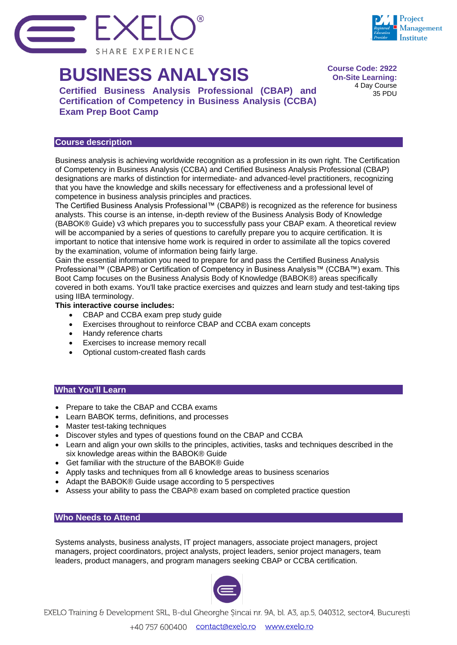

# **BUSINESS ANALYSIS**

**Certified Business Analysis Professional (CBAP) and Certification of Competency in Business Analysis (CCBA) Exam Prep Boot Camp**

## **Course description**

Business analysis is achieving worldwide recognition as a profession in its own right. The Certification of Competency in Business Analysis (CCBA) and Certified Business Analysis Professional (CBAP) designations are marks of distinction for intermediate- and advanced-level practitioners, recognizing that you have the knowledge and skills necessary for effectiveness and a professional level of competence in business analysis principles and practices.

**Course Code: 2922 On-Site Learning:** 4 Day Course 35 PDU

Project **Aanagement** astitute

The Certified Business Analysis Professional™ (CBAP®) is recognized as the reference for business analysts. This course is an intense, in-depth review of the Business Analysis Body of Knowledge (BABOK® Guide) v3 which prepares you to successfully pass your CBAP exam. A theoretical review will be accompanied by a series of questions to carefully prepare you to acquire certification. It is important to notice that intensive home work is required in order to assimilate all the topics covered by the examination, volume of information being fairly large.

Gain the essential information you need to prepare for and pass the Certified Business Analysis Professional™ (CBAP®) or Certification of Competency in Business Analysis™ (CCBA™) exam. This Boot Camp focuses on the Business Analysis Body of Knowledge (BABOK®) areas specifically covered in both exams. You'll take practice exercises and quizzes and learn study and test-taking tips using IIBA terminology.

## **This interactive course includes:**

- CBAP and CCBA exam prep study guide
- Exercises throughout to reinforce CBAP and CCBA exam concepts
- Handy reference charts
- Exercises to increase memory recall
- Optional custom-created flash cards

# **What You'll Learn**

- Prepare to take the CBAP and CCBA exams
- Learn BABOK terms, definitions, and processes
- Master test-taking techniques
- Discover styles and types of questions found on the CBAP and CCBA
- Learn and align your own skills to the principles, activities, tasks and techniques described in the six knowledge areas within the BABOK® Guide
- Get familiar with the structure of the BABOK® Guide
- Apply tasks and techniques from all 6 knowledge areas to business scenarios
- Adapt the BABOK® Guide usage according to 5 perspectives
- Assess your ability to pass the CBAP® exam based on completed practice question

### **Who Needs to Attend**

Systems analysts, business analysts, IT project managers, associate project managers, project managers, project coordinators, project analysts, project leaders, senior project managers, team leaders, product managers, and program managers seeking CBAP or CCBA certification.



EXELO Training & Development SRL, B-dul Gheorghe Sincai nr. 9A, bl. A3, ap.5, 040312, sector4, București